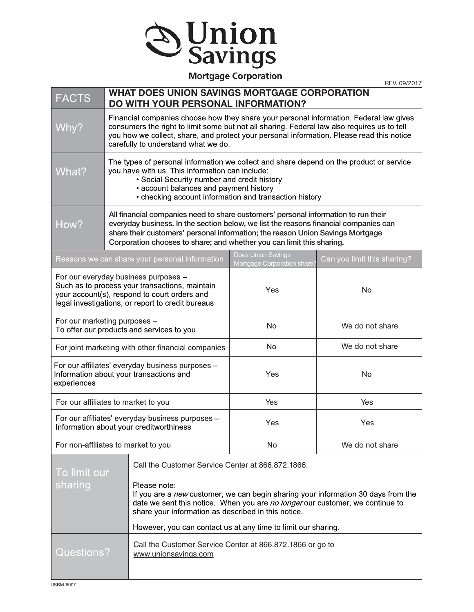

## **Mortgage Corporation**

REV. 09/2017

| <b>FACTS</b>                                                                                                                                                                                | <b>WHAT DOES UNION SAVINGS MORTGAGE CORPORATION</b><br>DO WITH YOUR PERSONAL INFORMATION?                                                                                                                                                                                                                                             |                                                                                                                                                                                                                                                                            |                                                   |                                                                                          |  |
|---------------------------------------------------------------------------------------------------------------------------------------------------------------------------------------------|---------------------------------------------------------------------------------------------------------------------------------------------------------------------------------------------------------------------------------------------------------------------------------------------------------------------------------------|----------------------------------------------------------------------------------------------------------------------------------------------------------------------------------------------------------------------------------------------------------------------------|---------------------------------------------------|------------------------------------------------------------------------------------------|--|
| Why?                                                                                                                                                                                        | Financial companies choose how they share your personal information. Federal law gives<br>consumers the right to limit some but not all sharing. Federal law also requires us to tell<br>you how we collect, share, and protect your personal information. Please read this notice<br>carefully to understand what we do.             |                                                                                                                                                                                                                                                                            |                                                   |                                                                                          |  |
| What?                                                                                                                                                                                       | The types of personal information we collect and share depend on the product or service<br>you have with us. This information can include:<br>• Social Security number and credit history<br>• account balances and payment history<br>• checking account information and transaction history                                         |                                                                                                                                                                                                                                                                            |                                                   |                                                                                          |  |
| How?                                                                                                                                                                                        | All financial companies need to share customers' personal information to run their<br>everyday business. In the section below, we list the reasons financial companies can<br>share their customers' personal information; the reason Union Savings Mortgage<br>Corporation chooses to share; and whether you can limit this sharing. |                                                                                                                                                                                                                                                                            |                                                   |                                                                                          |  |
| Reasons we can share your personal information                                                                                                                                              |                                                                                                                                                                                                                                                                                                                                       |                                                                                                                                                                                                                                                                            | Does Union Savings<br>Mortgage Corporation share' | Can you limit this sharing?                                                              |  |
| For our everyday business purposes -<br>Such as to process your transactions, maintain<br>your account(s), respond to court orders and<br>legal investigations, or report to credit bureaus |                                                                                                                                                                                                                                                                                                                                       |                                                                                                                                                                                                                                                                            | Yes                                               | No                                                                                       |  |
| For our marketing purposes -<br>To offer our products and services to you                                                                                                                   |                                                                                                                                                                                                                                                                                                                                       |                                                                                                                                                                                                                                                                            | No                                                | We do not share                                                                          |  |
| For joint marketing with other financial companies                                                                                                                                          |                                                                                                                                                                                                                                                                                                                                       |                                                                                                                                                                                                                                                                            | No                                                | We do not share                                                                          |  |
| For our affiliates' everyday business purposes -<br>Information about your transactions and<br>experiences                                                                                  |                                                                                                                                                                                                                                                                                                                                       |                                                                                                                                                                                                                                                                            | Yes                                               | <b>No</b>                                                                                |  |
| For our affiliates to market to you                                                                                                                                                         |                                                                                                                                                                                                                                                                                                                                       |                                                                                                                                                                                                                                                                            | Yes                                               | Yes                                                                                      |  |
| For our affiliates' everyday business purposes --<br>Information about your creditworthiness                                                                                                |                                                                                                                                                                                                                                                                                                                                       |                                                                                                                                                                                                                                                                            | Yes                                               | Yes                                                                                      |  |
| For non-affiliates to market to you                                                                                                                                                         |                                                                                                                                                                                                                                                                                                                                       |                                                                                                                                                                                                                                                                            | No                                                | We do not share                                                                          |  |
| To limit our<br>sharing                                                                                                                                                                     |                                                                                                                                                                                                                                                                                                                                       | Call the Customer Service Center at 866.872.1866.<br>Please note:<br>date we sent this notice. When you are no longer our customer, we continue to<br>share your information as described in this notice.<br>However, you can contact us at any time to limit our sharing. |                                                   | If you are a <i>new</i> customer, we can begin sharing your information 30 days from the |  |
| <b>Questions?</b>                                                                                                                                                                           | Call the Customer Service Center at 866.872.1866 or go to<br>www.unionsavings.com                                                                                                                                                                                                                                                     |                                                                                                                                                                                                                                                                            |                                                   |                                                                                          |  |